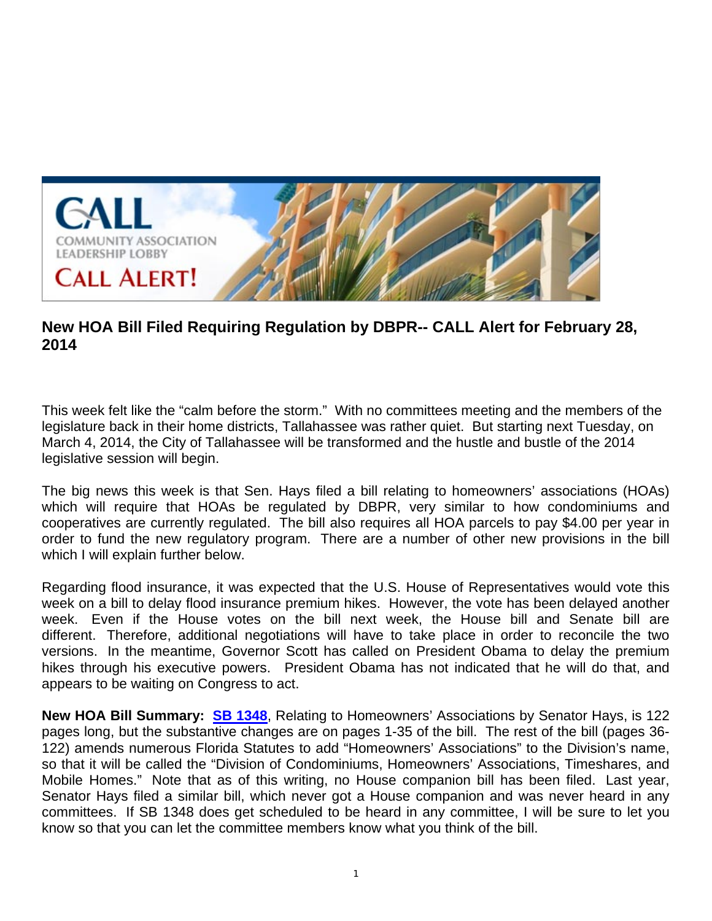

## **New HOA Bill Filed Requiring Regulation by DBPR-- CALL Alert for February 28, 2014**

This week felt like the "calm before the storm." With no committees meeting and the members of the legislature back in their home districts, Tallahassee was rather quiet. But starting next Tuesday, on March 4, 2014, the City of Tallahassee will be transformed and the hustle and bustle of the 2014 legislative session will begin.

The big news this week is that Sen. Hays filed a bill relating to homeowners' associations (HOAs) which will require that HOAs be regulated by DBPR, very similar to how condominiums and cooperatives are currently regulated. The bill also requires all HOA parcels to pay \$4.00 per year in order to fund the new regulatory program. There are a number of other new provisions in the bill which I will explain further below.

Regarding flood insurance, it was expected that the U.S. House of Representatives would vote this week on a bill to delay flood insurance premium hikes. However, the vote has been delayed another week. Even if the House votes on the bill next week, the House bill and Senate bill are different. Therefore, additional negotiations will have to take place in order to reconcile the two versions. In the meantime, Governor Scott has called on President Obama to delay the premium hikes through his executive powers. President Obama has not indicated that he will do that, and appears to be waiting on Congress to act.

**New HOA Bill Summary: SB 1348**, Relating to Homeowners' Associations by Senator Hays, is 122 pages long, but the substantive changes are on pages 1-35 of the bill. The rest of the bill (pages 36- 122) amends numerous Florida Statutes to add "Homeowners' Associations" to the Division's name, so that it will be called the "Division of Condominiums, Homeowners' Associations, Timeshares, and Mobile Homes." Note that as of this writing, no House companion bill has been filed. Last year, Senator Hays filed a similar bill, which never got a House companion and was never heard in any committees. If SB 1348 does get scheduled to be heard in any committee, I will be sure to let you know so that you can let the committee members know what you think of the bill.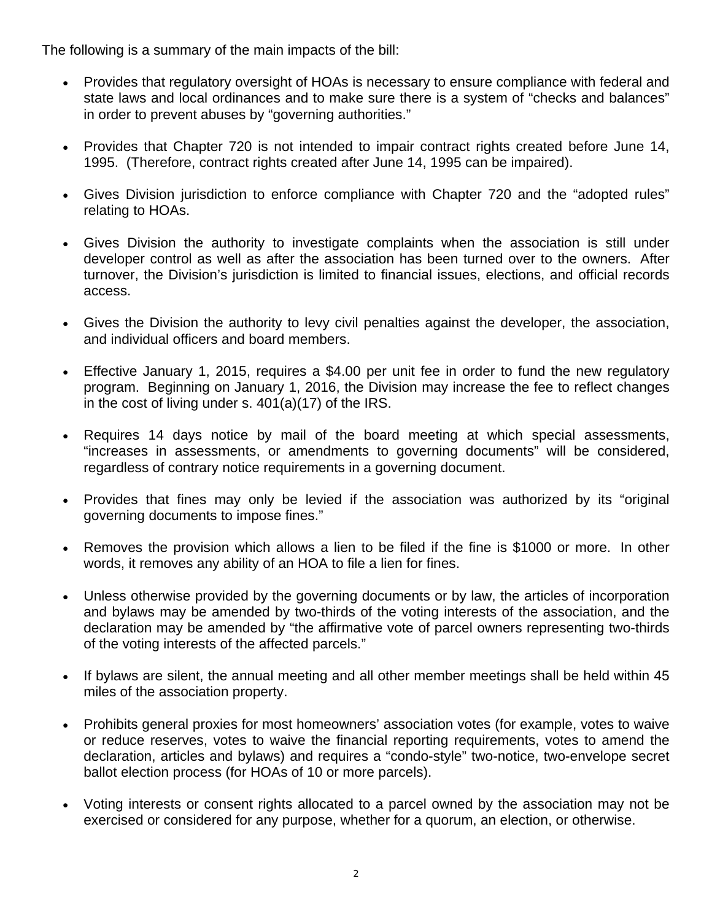The following is a summary of the main impacts of the bill:

- Provides that regulatory oversight of HOAs is necessary to ensure compliance with federal and state laws and local ordinances and to make sure there is a system of "checks and balances" in order to prevent abuses by "governing authorities."
- Provides that Chapter 720 is not intended to impair contract rights created before June 14, 1995. (Therefore, contract rights created after June 14, 1995 can be impaired).
- Gives Division jurisdiction to enforce compliance with Chapter 720 and the "adopted rules" relating to HOAs.
- Gives Division the authority to investigate complaints when the association is still under developer control as well as after the association has been turned over to the owners. After turnover, the Division's jurisdiction is limited to financial issues, elections, and official records access.
- Gives the Division the authority to levy civil penalties against the developer, the association, and individual officers and board members.
- Effective January 1, 2015, requires a \$4.00 per unit fee in order to fund the new regulatory program. Beginning on January 1, 2016, the Division may increase the fee to reflect changes in the cost of living under s. 401(a)(17) of the IRS.
- Requires 14 days notice by mail of the board meeting at which special assessments, "increases in assessments, or amendments to governing documents" will be considered, regardless of contrary notice requirements in a governing document.
- Provides that fines may only be levied if the association was authorized by its "original governing documents to impose fines."
- Removes the provision which allows a lien to be filed if the fine is \$1000 or more. In other words, it removes any ability of an HOA to file a lien for fines.
- Unless otherwise provided by the governing documents or by law, the articles of incorporation and bylaws may be amended by two-thirds of the voting interests of the association, and the declaration may be amended by "the affirmative vote of parcel owners representing two-thirds of the voting interests of the affected parcels."
- If bylaws are silent, the annual meeting and all other member meetings shall be held within 45 miles of the association property.
- Prohibits general proxies for most homeowners' association votes (for example, votes to waive or reduce reserves, votes to waive the financial reporting requirements, votes to amend the declaration, articles and bylaws) and requires a "condo-style" two-notice, two-envelope secret ballot election process (for HOAs of 10 or more parcels).
- Voting interests or consent rights allocated to a parcel owned by the association may not be exercised or considered for any purpose, whether for a quorum, an election, or otherwise.